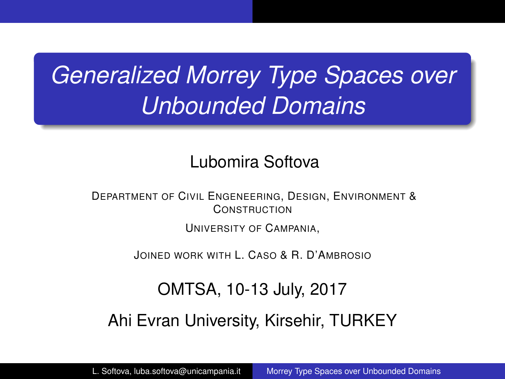# <span id="page-0-0"></span>*Generalized Morrey Type Spaces over Unbounded Domains*

## Lubomira Softova

DEPARTMENT OF CIVIL ENGENEERING, DESIGN, ENVIRONMENT & **CONSTRUCTION** 

UNIVERSITY OF CAMPANIA,

JOINED WORK WITH L. CASO & R. D'AMBROSIO

OMTSA, 10-13 July, 2017

Ahi Evran University, Kirsehir, TURKEY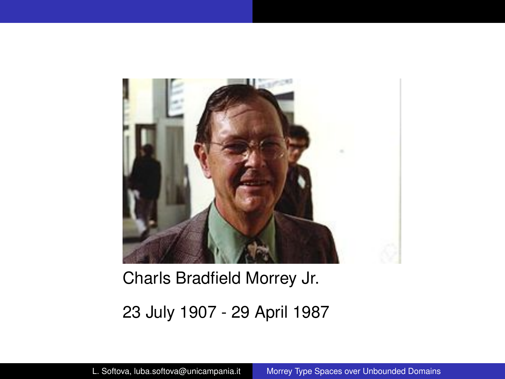

## Charls Bradfield Morrey Jr. 23 July 1907 - 29 April 1987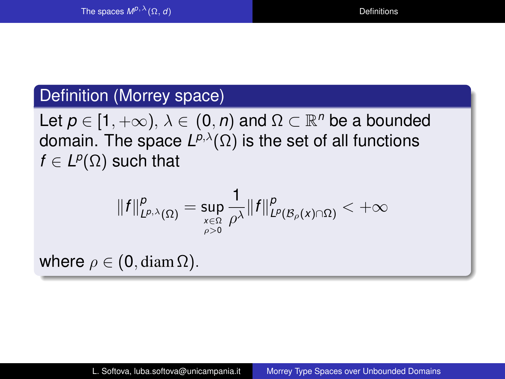#### <span id="page-2-0"></span>Definition (Morrey space)

Let  $p \in [1, +\infty)$ ,  $\lambda \in (0, n)$  and  $\Omega \subset \mathbb{R}^n$  be a bounded domain. The space *L <sup>p</sup>*,λ(Ω) is the set of all functions  $f \in L^p(\Omega)$  such that

$$
||f||_{L^{p,\lambda}(\Omega)}^p=\sup_{\stackrel{x\in\Omega}{\rho>0}}\frac{1}{\rho^\lambda}||f||_{L^p(\mathcal{B}_\rho(x)\cap\Omega)}^p<+\infty
$$

where  $\rho \in (0, \text{diam }\Omega)$ .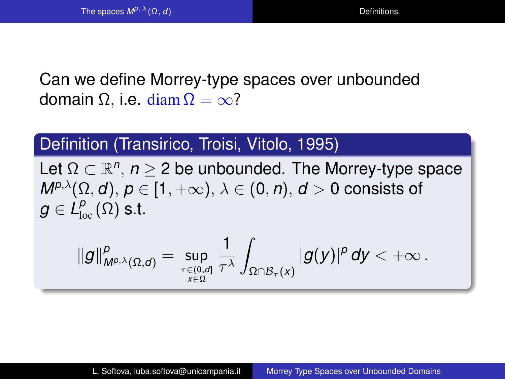## Can we define Morrey-type spaces over unbounded domain Ω, i.e. diam  $\Omega = \infty$ ?

#### Definition (Transirico, Troisi, Vitolo, 1995)

Let  $\Omega \subset \mathbb{R}^n$ ,  $n \geq 2$  be unbounded. The Morrey-type space  $M^{p,\lambda}(\Omega, d), p \in [1, +\infty), \lambda \in (0, n), d > 0$  consists of  $g\in L^{\rho}_{\textrm{loc}}(\Omega)$  s.t.

$$
\|g\|^p_{M^{p,\lambda}(\Omega,d)}=\sup_{\tau\in (0,d]\atop x\in \Omega}\frac{1}{\tau^\lambda}\int_{\Omega\cap \mathcal{B}_\tau(x)}|g(y)|^p\,dy<+\infty\,.
$$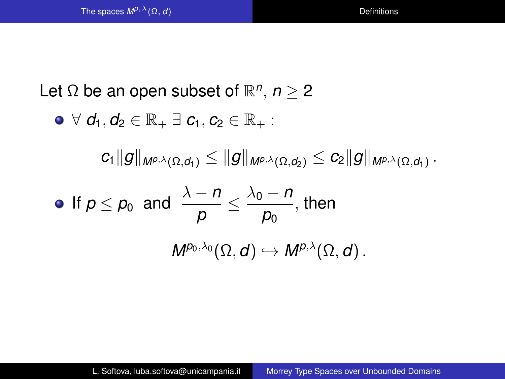Let  $\Omega$  be an open subset of  $\mathbb{R}^n$ ,  $n \geq 2$ 

$$
\bullet\ \forall\ d_1, d_2\in\mathbb{R}_+\ \exists\ c_1, c_2\in\mathbb{R}_+:
$$

 $c_1$   $\|g\|_{\mathsf{M}^{\rho,\lambda}(\Omega,d_1)} \leq \|g\|_{\mathsf{M}^{\rho,\lambda}(\Omega,d_2)} \leq c_2 \|g\|_{\mathsf{M}^{\rho,\lambda}(\Omega,d_1)}$  .

• If 
$$
p \le p_0
$$
 and  $\frac{\lambda - n}{p} \le \frac{\lambda_0 - n}{p_0}$ , then  

$$
M^{p_0, \lambda_0}(\Omega, d) \hookrightarrow M^{p, \lambda}(\Omega, d).
$$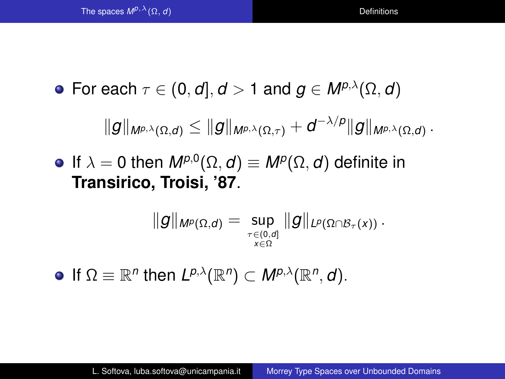**•** For each  $\tau \in (0, d], d > 1$  and  $q \in M^{p,\lambda}(\Omega, d)$ 

$$
\|g\|_{M^{p,\lambda}(\Omega,d)}\leq \|g\|_{M^{p,\lambda}(\Omega,\tau)}+d^{-\lambda/p}\|g\|_{M^{p,\lambda}(\Omega,d)}\,.
$$

If  $\lambda = 0$  then  $M^{p,0}(\Omega, d) \equiv M^p(\Omega, d)$  definite in **Transirico, Troisi, '87**.

$$
\|g\|_{\mathsf{M}^p(\Omega, d)} = \sup_{\tau \in (0, d] \atop x \in \Omega} \|g\|_{L^p(\Omega \cap \mathcal{B}_{\tau}(x))} \, .
$$

If  $\Omega \equiv \mathbb{R}^n$  then  $L^{p,\lambda}(\mathbb{R}^n) \subset M^{p,\lambda}(\mathbb{R}^n,d)$ .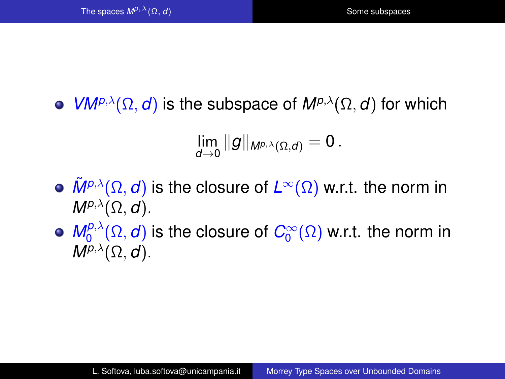<span id="page-6-0"></span> $\bullet$  *VM<sup>p,λ</sup>*( $\Omega$ , *d*) is the subspace of  $M^{p, \lambda}(\Omega, d)$  for which

$$
\lim_{d\to 0} \|g\|_{M^{p,\lambda}(\Omega,d)}=0\,.
$$

- $\tilde{M}^{p,\lambda}(\Omega,d)$  is the closure of  $L^{\infty}(\Omega)$  w.r.t. the norm in  $M^{p,\lambda}(\Omega, d)$ .
- $M_0^{p, \lambda}$  $\mathcal{O}^{p,\lambda}_0(\Omega, \boldsymbol{d})$  is the closure of  $\mathcal{C}^{\infty}_0(\Omega)$  w.r.t. the norm in  $M^{p,\lambda}(\Omega, d)$ .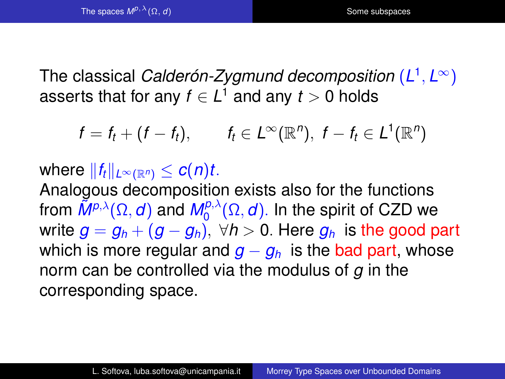The classical *Calderón-Zygmund decomposition* (*L* 1 , *L* <sup>∞</sup>) asserts that for any  $f\in L^1$  and any  $t>0$  holds

$$
f = f_t + (f - f_t), \qquad f_t \in L^{\infty}(\mathbb{R}^n), \ f - f_t \in L^1(\mathbb{R}^n)
$$

where  $||f_t||_{L^\infty(\mathbb{R}^n)} \leq c(n)t$ . Analogous decomposition exists also for the functions from  $\tilde{M}^{p,\lambda}(\Omega,d)$  and  $M_0^{p,\lambda}$  $\int_0^{\rho,\lambda} (\Omega, \boldsymbol{d})$ . In the spirit of CZD we write  $g = g_h + (g - g_h)$ ,  $\forall h > 0$ . Here  $g_h$  is the good part which is more regular and  $q - q_h$  is the bad part, whose norm can be controlled via the modulus of *g* in the corresponding space.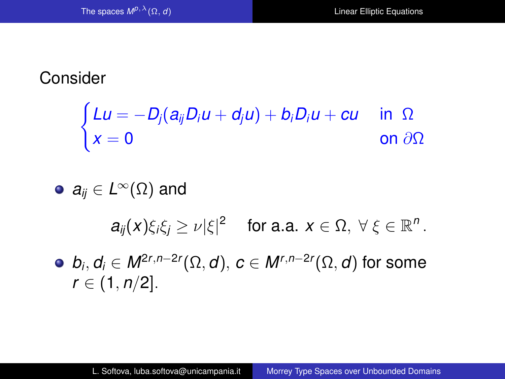## <span id="page-8-0"></span>Consider

$$
\begin{cases}\nLu = -D_j(a_{ij}D_iu + d_ju) + b_iD_iu + cu & \text{in } \Omega \\
x = 0 & \text{on } \partial\Omega\n\end{cases}
$$

\n- $$
a_{ij} \in L^{\infty}(\Omega)
$$
 and
\n- $a_{ij}(x)\xi_i\xi_j \geq \nu |\xi|^2$  for a.a.  $x \in \Omega$ ,  $\forall \xi \in \mathbb{R}^n$ .
\n- $b_i, d_i \in M^{2r, n-2r}(\Omega, d), c \in M^{r, n-2r}(\Omega, d)$  for some  $r \in (1, n/2]$ .
\n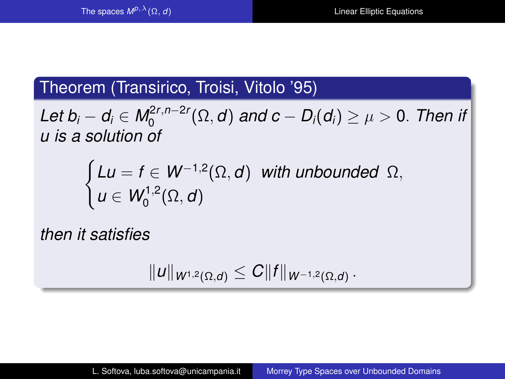### Theorem (Transirico, Troisi, Vitolo '95)

 $L$ et  $b_i - d_i \in M_0^{2r, n-2r}$  $\mathsf{D}_0^{(\mathsf{Z} \mathsf{Z}, \mathsf{I})-\mathsf{Z} \mathsf{Z} \mathsf{Z}}(\Omega,d)$  and  $\mathsf{C}-\mathsf{D}_\mathsf{I}(d_\mathsf{I}) \geq \mu > 0.$  Then if *u is a solution of*

$$
\begin{cases}\nLu = f \in W^{-1,2}(\Omega, d) & \text{with unbounded } \Omega, \\
u \in W_0^{1,2}(\Omega, d)\n\end{cases}
$$

*then it satisfies*

$$
||u||_{W^{1,2}(\Omega,d)} \leq C||f||_{W^{-1,2}(\Omega,d)}.
$$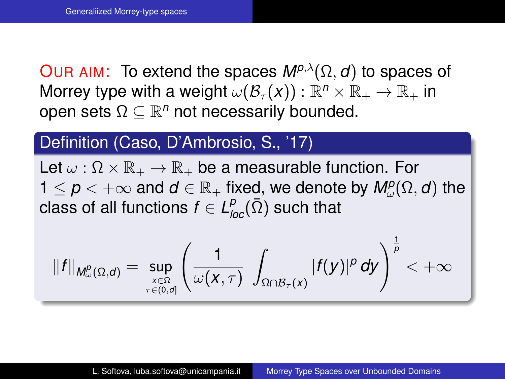<span id="page-10-0"></span>OUR AIM: To extend the spaces  $M^{p,\lambda}(\Omega, d)$  to spaces of Morrey type with a weight  $\omega(\mathcal{B}_{\tau}(\boldsymbol{x})) : \mathbb{R}^n \times \mathbb{R}_+ \to \mathbb{R}_+$  in open sets  $\Omega \subseteq \mathbb{R}^n$  not necessarily bounded.

## Definition (Caso, D'Ambrosio, S., '17)

Let  $\omega : \Omega \times \mathbb{R}_+ \to \mathbb{R}_+$  be a measurable function. For  $1 \leq p < +\infty$  and  $d \in \mathbb{R}_+$  fixed, we denote by  $M^p_\omega(\Omega, d)$  the  $\textsf{class}$  of all functions  $f\in \mathcal{L}^p_{\textit{loc}}(\bar{\Omega})$  such that

$$
\|f\|_{M^p_\omega(\Omega, d)} = \sup_{x \in \Omega \atop \tau \in (0, d]} \left( \frac{1}{\omega(x, \tau)} \int_{\Omega \cap \mathcal{B}_\tau(x)} |f(y)|^p \, dy \right)^{\frac{1}{p}} < +\infty
$$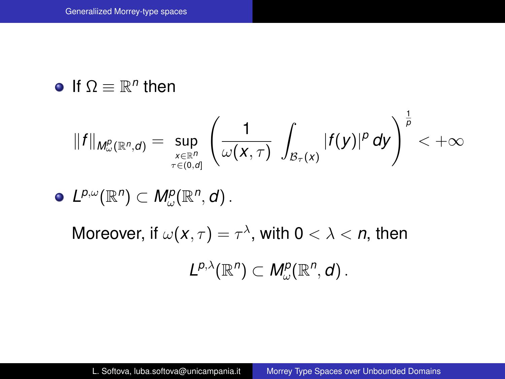If  $\Omega \equiv \mathbb{R}^n$  then

$$
||f||_{M^p_\omega(\mathbb{R}^n,d)} = \sup_{\underset{\tau \in (0,d]}{x \in \mathbb{R}^n}} \left( \frac{1}{\omega(x,\tau)} \int_{\mathcal{B}_{\tau}(x)} |f(y)|^p dy \right)^{\frac{1}{p}} < +\infty
$$

 $L^{p,\omega}(\mathbb{R}^n) \subset M^p_\omega(\mathbb{R}^n,d)$ .

Moreover, if  $\omega(\pmb{x},\tau)=\tau^\lambda$ , with  $\pmb{0}<\lambda<\pmb{n},$  then

$$
L^{p,\lambda}(\mathbb{R}^n) \subset M^p_\omega(\mathbb{R}^n,d).
$$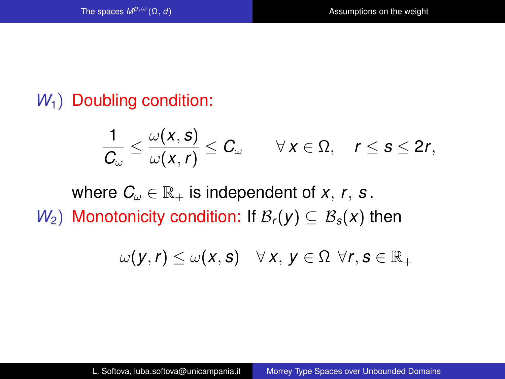## <span id="page-12-0"></span>*W*<sub>1</sub>) Doubling condition:

$$
\frac{1}{C_{\omega}} \leq \frac{\omega(x, s)}{\omega(x, r)} \leq C_{\omega} \qquad \forall x \in \Omega, \quad r \leq s \leq 2r,
$$

where  $C_{\omega} \in \mathbb{R}_+$  is independent of *x*, *r*, *s*. *W*<sub>2</sub>) Monotonicity condition: If  $\mathcal{B}_r(y) \subseteq \mathcal{B}_s(x)$  then

$$
\omega(\mathbf{y},\mathbf{r}) \leq \omega(\mathbf{x},\mathbf{s}) \quad \forall \mathbf{x}, \mathbf{y} \in \Omega \ \forall \mathbf{r}, \mathbf{s} \in \mathbb{R}_+
$$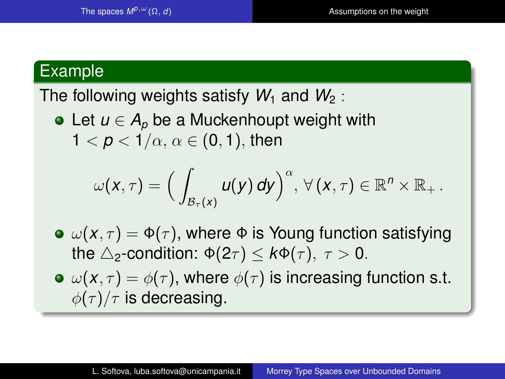#### Example

The following weights satisfy  $W_1$  and  $W_2$ :

• Let  $u \in A_p$  be a Muckenhoupt weight with  $1 < p < 1/\alpha$ ,  $\alpha \in (0,1)$ , then

$$
\omega(x,\tau)=\Big(\int_{\mathcal{B}_{\tau}(x)}u(y)\,dy\Big)^{\alpha},\,\forall\,(x,\tau)\in\mathbb{R}^{n}\times\mathbb{R}_{+}.
$$

- $\mathbf{v}(\mathbf{x}, \tau) = \mathbf{\Phi}(\tau)$ , where  $\mathbf{\Phi}$  is Young function satisfying the  $\triangle$ <sub>2</sub>-condition:  $\Phi(2\tau) < k\Phi(\tau)$ ,  $\tau > 0$ .
- $\bullet \omega(x,\tau) = \phi(\tau)$ , where  $\phi(\tau)$  is increasing function s.t.  $\phi(\tau)/\tau$  is decreasing.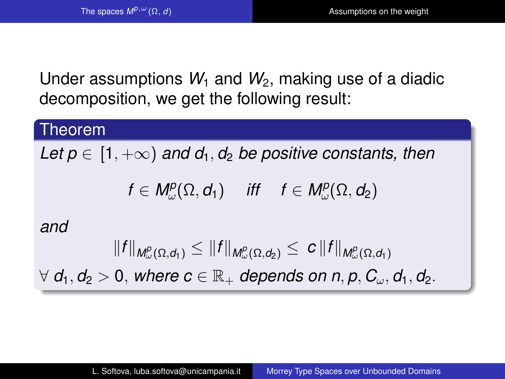Under assumptions  $W_1$  and  $W_2$ , making use of a diadic decomposition, we get the following result:

#### Theorem

*Let p*  $\in$  [1,  $+\infty$ ) *and d*<sub>1</sub>, *d*<sub>2</sub> *be positive constants, then* 

$$
f\in M^p_\omega(\Omega,d_1)\quad\text{ iff }\quad f\in M^p_\omega(\Omega,d_2)
$$

#### *and*

$$
||f||_{M^p_\omega(\Omega,d_1)} \leq ||f||_{M^p_\omega(\Omega,d_2)} \leq c||f||_{M^p_\omega(\Omega,d_1)}
$$

 $\forall d_1, d_2 > 0$ , where  $c \in \mathbb{R}_+$  depends on n, p,  $C_{\omega}, d_1, d_2$ .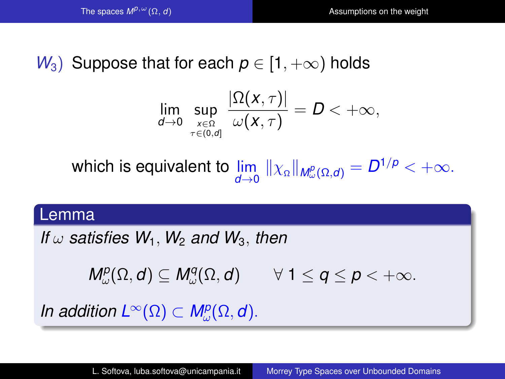## *W*<sub>3</sub>) Suppose that for each  $p \in [1, +\infty)$  holds

$$
\lim_{d\to 0}\sup_{\substack{x\in\Omega\\ \tau\in(0,d]}}\frac{|\Omega(x,\tau)|}{\omega(x,\tau)}=D<+\infty,
$$

which is equivalent to  $\lim\limits_{d\to 0}\|\chi_\Omega\|_{\mathsf{M}_\omega^p(\Omega,d)}=D^{1/p}<+\infty.$ 

#### Lemma

*If*  $\omega$  *satisfies*  $W_1$ ,  $W_2$  *and*  $W_3$ , *then* 

 $M^p_\omega(\Omega, d) \subseteq M^q_\omega(\Omega, d) \qquad \forall \ 1 \leq q \leq p < +\infty.$ 

*In addition*  $L^{\infty}(\Omega) \subset M_{\omega}^{p}(\Omega, d)$ .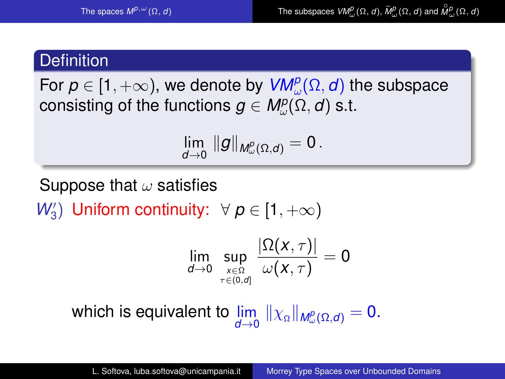## <span id="page-16-0"></span>**Definition**

For  $\boldsymbol{\rho} \in [1,+\infty)$ , we denote by  $\textit{VM}_\omega^\rho(\Omega,\boldsymbol{d})$  the subspace  $\mathsf{consisting}\; \mathsf{of} \; \mathsf{the}\; \mathsf{functions}\; \pmb{g} \in \pmb{M}_{\omega}^{\pmb{p}}(\Omega, \pmb{d})\; \mathsf{s.t.}$ 

$$
\lim_{d\to 0}\,\|g\|_{M^p_\omega(\Omega,d)}=0\,.
$$

Suppose that  $\omega$  satisfies

*W*<sup>2</sup><sub>3</sub>) Uniform continuity:  $\forall p \in [1, +\infty)$ 

$$
\lim_{d\to 0}\sup_{\underset{\tau\in(0,d]}{\scriptscriptstyle x\in\Omega}}\frac{|\Omega(x,\tau)|}{\omega(x,\tau)}=0
$$

which is equivalent to  $\lim\limits_{d\to 0}\|\chi_\Omega\|_{\mathcal{M}^p_\omega(\Omega,d)}=0.$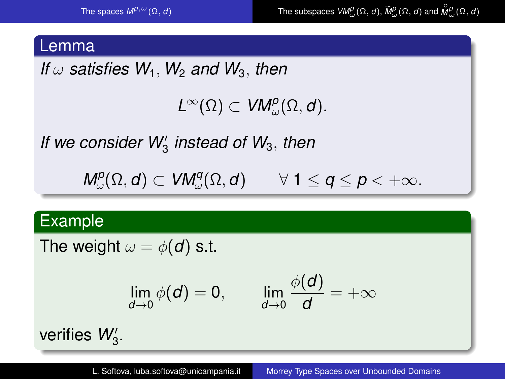#### Lemma

*If*  $\omega$  *satisfies*  $W_1$ ,  $W_2$  *and*  $W_3$ , *then* 

 $L^{\infty}(\Omega) \subset VM_{\omega}^{p}(\Omega,d).$ 

If we consider W<sub>3</sub> instead of W<sub>3</sub>, then

 $M^p_\omega(\Omega, d) \subset VM^q_\omega(\Omega, d) \qquad \forall \ 1 \leq q \leq p < +\infty.$ 

#### Example

The weight  $\omega = \phi(d)$  s.t.

$$
\lim_{d\to 0}\phi(d)=0,\qquad \lim_{d\to 0}\frac{\phi(d)}{d}=+\infty
$$

verifies  $W_3'$ .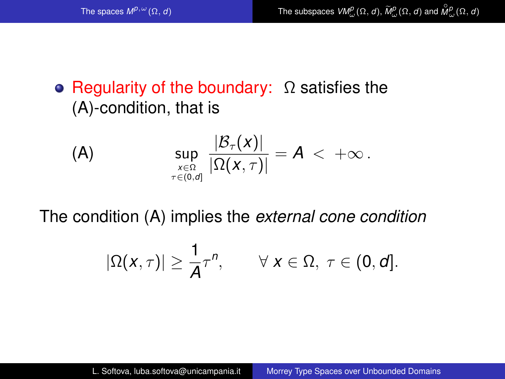## • Regularity of the boundary:  $\Omega$  satisfies the (A)-condition, that is

<span id="page-18-0"></span>(A) 
$$
\sup_{\substack{x \in \Omega \\ \tau \in (0,\sigma]}} \frac{|\mathcal{B}_{\tau}(x)|}{|\Omega(x,\tau)|} = A < +\infty.
$$

The condition [\(A\)](#page-18-0) implies the *external cone condition*

$$
|\Omega(x,\tau)| \geq \frac{1}{A}\tau^n, \qquad \forall \; x \in \Omega, \; \tau \in (0,d].
$$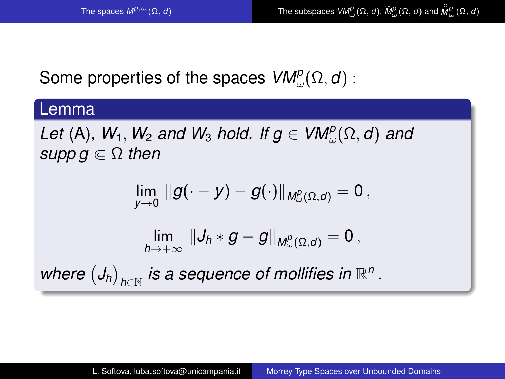## Some properties of the spaces  $\mathsf{VM}^p_\omega(\Omega,\boldsymbol{d})$  :

#### Lemma

Let [\(A\)](#page-18-0),  $W_1$ ,  $W_2$  *and*  $W_3$  *hold. If*  $g \in VM_\omega^p(\Omega, d)$  *and supp*  $g \in \Omega$  *then* 

$$
\lim_{y\to 0} \|g(\cdot-y)-g(\cdot)\|_{M^p_\omega(\Omega,d)}=0\,,
$$

$$
\lim_{h\to +\infty} \|J_h\ast g-g\|_{M^p_\omega(\Omega,d)}=0\,,
$$

where  $\left(J_h\right)_{h\in\mathbb{N}}$  is a sequence of mollifies in  $\mathbb{R}^n$  .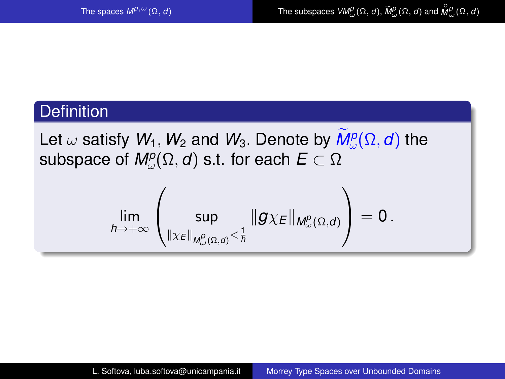## **Definition**

Let  $\omega$  satisfy  $W_1$ ,  $W_2$  and  $W_3$ . Denote by  $M^p_\omega(\Omega, d)$  the subspace of  $\textit{M}_{\omega}^p(\Omega,d)$  s.t. for each  $E\subset\Omega$ 

$$
\lim_{h\to +\infty}\left(\sup_{\|\chi_E\|_{M^p_\omega(\Omega, d)}<\frac{1}{h}}\|g\chi_E\|_{M^p_\omega(\Omega, d)}\right)=0\,.
$$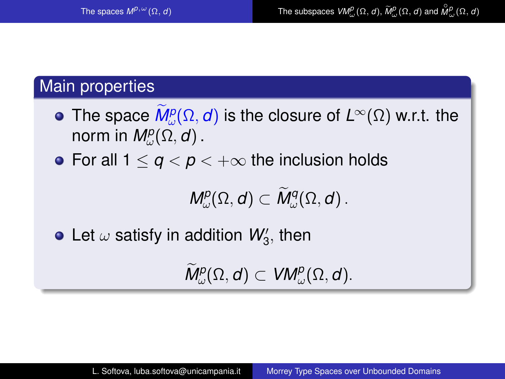## Main properties

- The space  $M_{\omega}^p(\Omega, d)$  is the closure of  $L^{\infty}(\Omega)$  w.r.t. the norm in  $\mathsf{M}^p_\omega(\Omega,d)$  .
- For all  $1 \leq q < p < +\infty$  the inclusion holds

 $M^p_\omega(\Omega, d) \subset M^q_\omega(\Omega, d)$  .

Let  $\omega$  satisfy in addition  $\mathcal{W}'_3$ , then

 $\widetilde{M}^p_\omega(\Omega, d) \subset VM^p_\omega(\Omega, d).$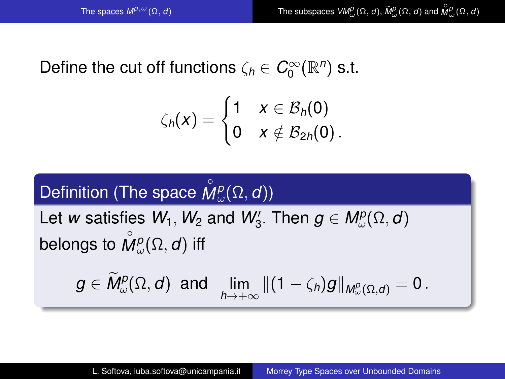## Define the cut off functions  $\zeta_h \in C_0^{\infty}(\mathbb{R}^n)$  s.t.

$$
\zeta_h(x) = \begin{cases} 1 & x \in \mathcal{B}_h(0) \\ 0 & x \notin \mathcal{B}_{2h}(0) \end{cases}.
$$

#### Definition (The space  $\stackrel{\circ}{M}$  $M^p_\omega(\Omega,d))$

Let *w* satisfies  $W_1, W_2$  and  $W_3'$ . Then  $g \in M_{\omega}^p(\Omega, d)$ belongs to  $\stackrel{\circ}{\mathsf{M}}$  $M^p_\omega(\Omega,d)$  iff

$$
g\in \tilde{M}^p_\omega(\Omega,d)\;\;\text{and}\;\;\lim_{h\to +\infty}\|(1-\zeta_h)g\|_{M^p_\omega(\Omega,d)}=0\,.
$$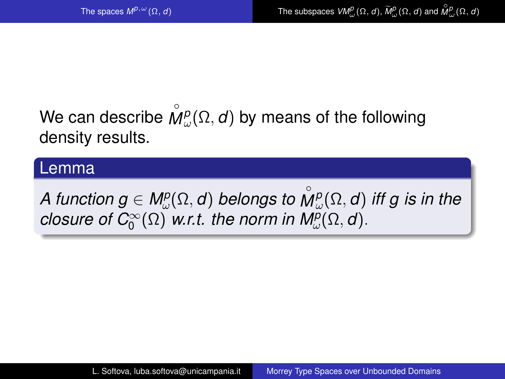#### We can describe  $\stackrel{\circ}{\mathcal{W}}$  $M^p_\omega(\Omega, d)$  by means of the following density results.

#### Lemma

 $A$  function  $g \in M^p_\omega(\Omega,d)$  belongs to  $\stackrel{\circ}{M}$  $\dot{M}^p_\omega(\Omega,d)$  iff g is in the *closure of C* $_{0}^{\infty}(\Omega)$  *w.r.t. the norm in M* $_{\omega}^{p}(\Omega, d)$ *.*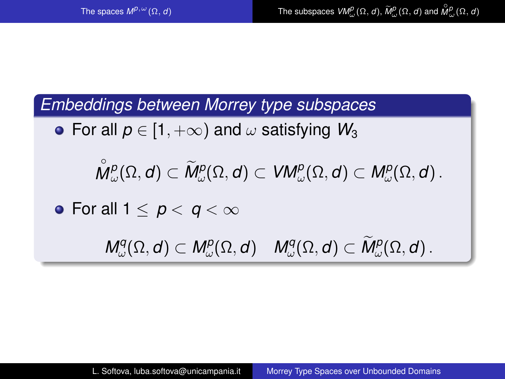*Embeddings between Morrey type subspaces*

• For all  $p \in [1, +\infty)$  and  $\omega$  satisfying  $W_3$ 

 $^{\circ}$  $\tilde{M}^p_\omega(\Omega, d) \subset \tilde{M}^p_\omega(\Omega, d) \subset VM^p_\omega(\Omega, d) \subset M^p_\omega(\Omega, d)$ .

• For all  $1 < p < q < \infty$ 

 $M^q_\omega(\Omega, d) \subset M^p_\omega(\Omega, d) \quad M^q_\omega(\Omega, d) \subset M^p_\omega(\Omega, d)$ .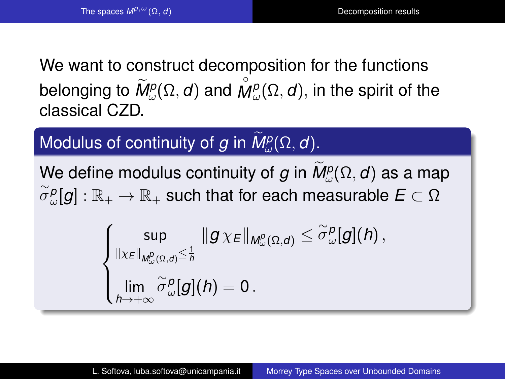<span id="page-25-0"></span>We want to construct decomposition for the functions belonging to  $\widetilde{M}^p_\omega(\Omega,d)$  and  $\overset{\circ}{M}$  $M^p_{\omega}(\Omega, d)$ , in the spirit of the classical CZD.

Modulus of continuity of *g* in  $M_{\omega}^p(\Omega, d)$ .

We define modulus continuity of *g* in  $M^p_\omega(\Omega, d)$  as a map  $\stackrel{\sim}{\sigma}{}^{\rho}_{\omega}[g]:\mathbb{R}_+\to\mathbb{R}_+$  such that for each measurable  $E\subset\Omega$ 

$$
\begin{cases} \sup_{\| \chi_E \|_{M^p_\omega(\Omega, d)} \leq \frac{1}{h}} \| g \, \chi_E \|_{M^p_\omega(\Omega, d)} \leq \widetilde{\sigma}^p_\omega[g](h) \,, \\ \lim_{h \to +\infty} \widetilde{\sigma}^p_\omega[g](h) = 0 \,. \end{cases}
$$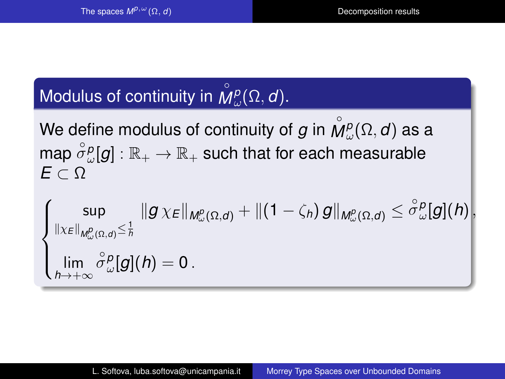#### Modulus of continuity in  $\stackrel{\circ}{\mathcal{W}}$ *M p* ω (Ω, *d*).

We define modulus of continuity of  $g$  in  $\stackrel{\circ}{W}$  $\dot{M}^p_\omega(\Omega,d)$  as a map  $\overset{\circ}{\sigma}{}^p_\omega[g]:\mathbb{R}_+\to\mathbb{R}_+$  such that for each measurable *E* ⊂ Ω

$$
\left\{\begin{aligned}\sup_{\left\|\chi_{E}\right\|_{M_{\omega}^{p}(\Omega,d)}\leq\frac{1}{h}}&\left\|g\,\chi_{E}\right\|_{M_{\omega}^{p}(\Omega,d)}+\left\|\left(1-\zeta_{h}\right)g\right\|_{M_{\omega}^{p}(\Omega,d)}\leq\overset{\circ}{\sigma}_{\omega}^{p}[g](h)\right\} \\
\lim_{h\rightarrow+\infty}\overset{\circ}{\sigma}_{\omega}^{p}[g](h)=0\,.\\
\end{aligned}\right\}
$$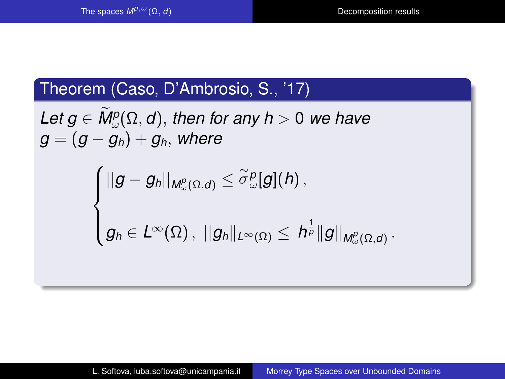## Theorem (Caso, D'Ambrosio, S., '17)

 $\mathcal{L}$ *et g*  $\in M^p_\omega(\Omega, d)$ , then for any h > 0 we have  $g = (g - g_h) + g_h$ , where

$$
\begin{cases} ||g-g_h||_{M^p_\omega(\Omega,d)}\leq \widetilde{\sigma}^\varrho_\omega[g](h)\,,\\ \\ g_h\in L^\infty(\Omega)\,,\,\,||g_h||_{L^\infty(\Omega)}\leq\, h^{\frac{1}{p}}\|g\|_{M^p_\omega(\Omega,d)}\,.\end{cases}
$$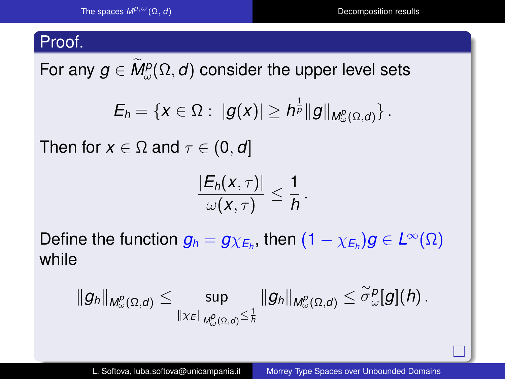#### Proof.

For any  $\boldsymbol{g} \in \textit{M}_{\omega}^p(\Omega,\boldsymbol{d})$  consider the upper level sets

$$
E_h=\{x\in \Omega:\; |g(x)|\geq h^{\frac{1}{p}}\|g\|_{M^p_\omega(\Omega,d)}\}\,.
$$

Then for  $x \in \Omega$  and  $\tau \in (0, d]$ 

$$
\frac{|E_h(x,\tau)|}{\omega(x,\tau)}\leq \frac{1}{h}\,.
$$

 $\textsf{Define the function } g_h = g_{\chi_{\textsf{E}_h}}, \text{ then } (1-\chi_{\textsf{E}_h})g \in L^\infty(\Omega)$ while

$$
\|g_h\|_{M^p_\omega(\Omega, d)} \leq \sup_{\|\chi_E\|_{M^p_\omega(\Omega, d)} \leq \frac{1}{h}} \|g_h\|_{M^p_\omega(\Omega, d)} \leq \widetilde{\sigma}^p_\omega[g](h) \, .
$$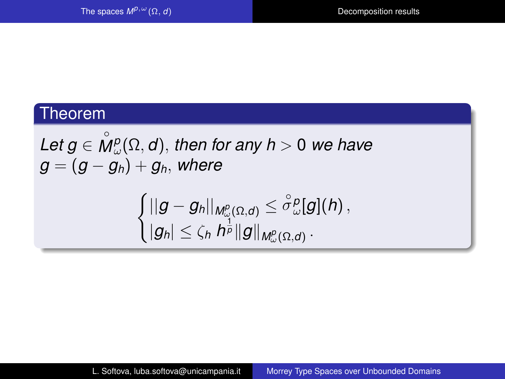#### Theorem

*Let g* ∈ ◦  $\tilde{M}^p_{\omega}(\Omega, d)$ , then for any  $h > 0$  we have  $g = (g - g_h) + g_h$ , where

$$
\begin{cases} ||g-g_h||_{M^p_\omega(\Omega,d)}\leq \overset{\circ}\sigma{}^p_\omega[g](h)\,,\\ |g_h|\leq \zeta_h\, h^{\frac1p}\|g\|_{M^p_\omega(\Omega,d)}\,.\end{cases}
$$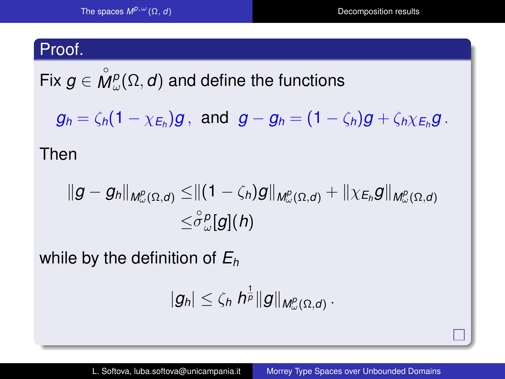#### <span id="page-30-0"></span>Proof.

Fix  $g \in \overset{\circ}{\mathcal{M}}$  $M^p_{\omega}(\Omega, d)$  and define the functions

 $g_h = \zeta_h (1 - \chi_{E_h}) g$ , and  $g - g_h = (1 - \zeta_h) g + \zeta_h \chi_{E_h} g$ .

Then

$$
\begin{aligned}\|g-g_h\|_{M^p_\omega(\Omega,d)}\leq&\|(1-\zeta_h)g\|_{M^p_\omega(\Omega,d)}+\|\chi_{E_h}g\|_{M^p_\omega(\Omega,d)}\\ \leq& \overset{\circ}{\sigma}{}^p_\omega[g](h)\end{aligned}
$$

while by the definition of *E<sup>h</sup>*

$$
|g_h|\leq \zeta_h h^{\frac{1}{p}}\|g\|_{M^p_\omega(\Omega,d)}.
$$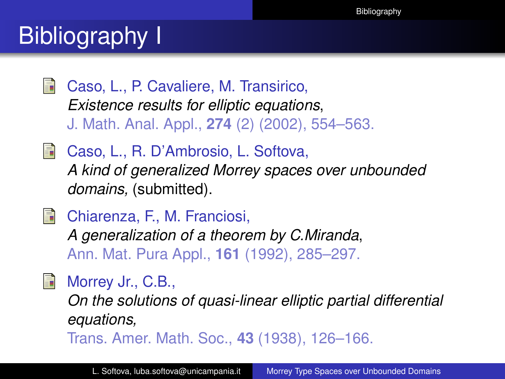## <span id="page-31-0"></span>**Bibliography** I

螶 Caso, L., P. Cavaliere, M. Transirico, *Existence results for elliptic equations*, J. Math. Anal. Appl., **274** (2) (2002), 554–563.

**Caso, L., R. D'Ambrosio, L. Softova,** *A kind of generalized Morrey spaces over unbounded domains,* (submitted).

**Chiarenza, F., M. Franciosi,** *A generalization of a theorem by C.Miranda*, Ann. Mat. Pura Appl., **161** (1992), 285–297.

Morrey Jr., C.B.,

*On the solutions of quasi-linear elliptic partial differential equations,*

Trans. Amer. Math. Soc., **43** (1938), 126–166.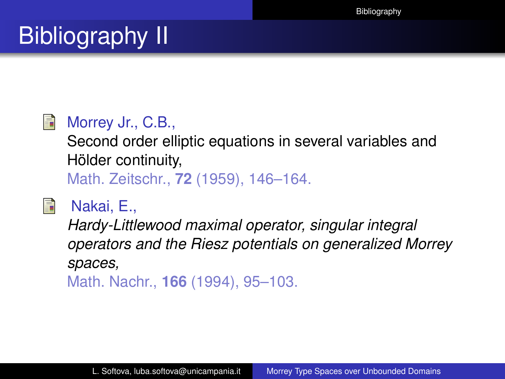# Bibliography II

#### E.

### Morrey Jr., C.B.,

Second order elliptic equations in several variables and Hölder continuity, Math. Zeitschr., **72** (1959), 146–164.



## Nakai, E.,

*Hardy-Littlewood maximal operator, singular integral operators and the Riesz potentials on generalized Morrey spaces,* Math. Nachr., **166** (1994), 95–103.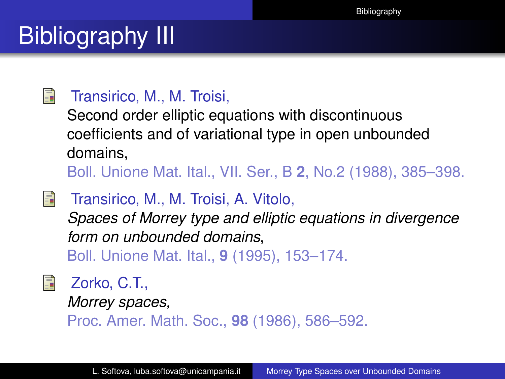# Bibliography III

#### F

#### Transirico, M., M. Troisi,

Second order elliptic equations with discontinuous coefficients and of variational type in open unbounded domains,

Boll. Unione Mat. Ital., VII. Ser., B **2**, No.2 (1988), 385–398.

H

Transirico, M., M. Troisi, A. Vitolo,

*Spaces of Morrey type and elliptic equations in divergence form on unbounded domains*,

Boll. Unione Mat. Ital., **9** (1995), 153–174.



Zorko, C.T.,

*Morrey spaces,*

Proc. Amer. Math. Soc., **98** (1986), 586–592.